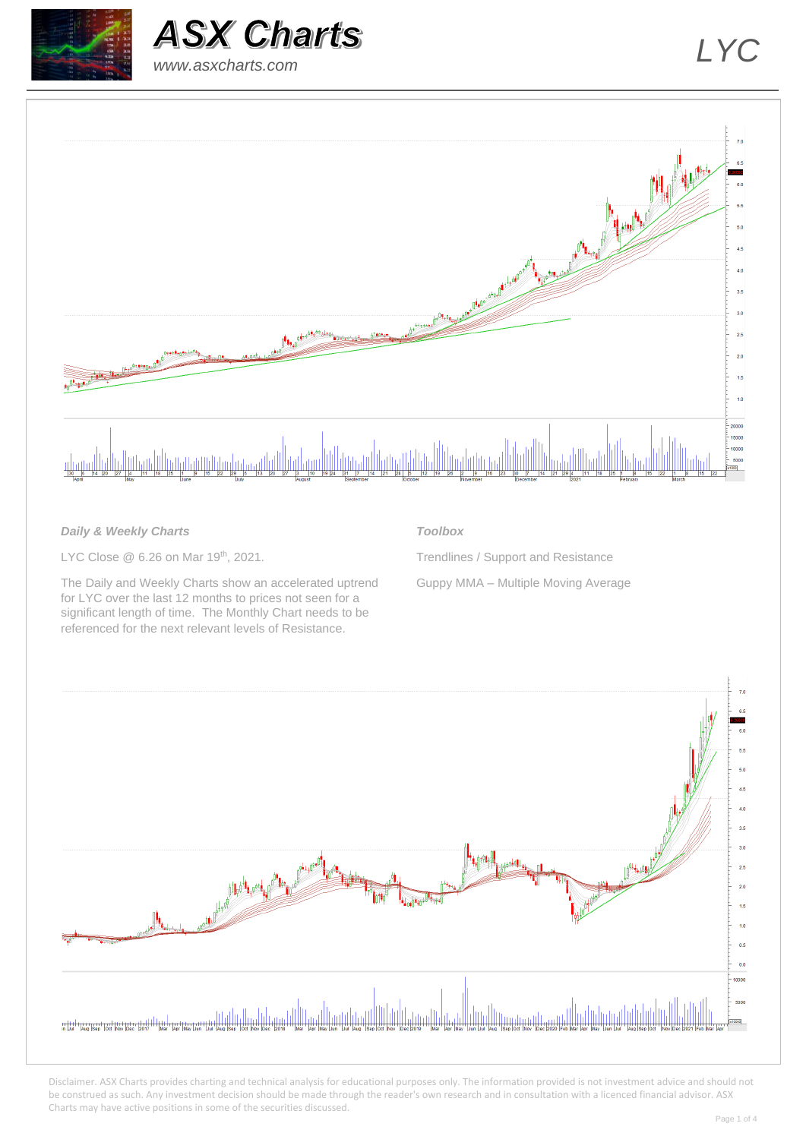



# *www.asxcharts.com*



## *Daily & Weekly Charts*

LYC Close @ 6.26 on Mar 19<sup>th</sup>, 2021.

The Daily and Weekly Charts show an accelerated uptrend for LYC over the last 12 months to prices not seen for a significant length of time. The Monthly Chart needs to be referenced for the next relevant levels of Resistance.

## *Toolbox*

Trendlines / Support and Resistance Guppy MMA – Multiple Moving Average

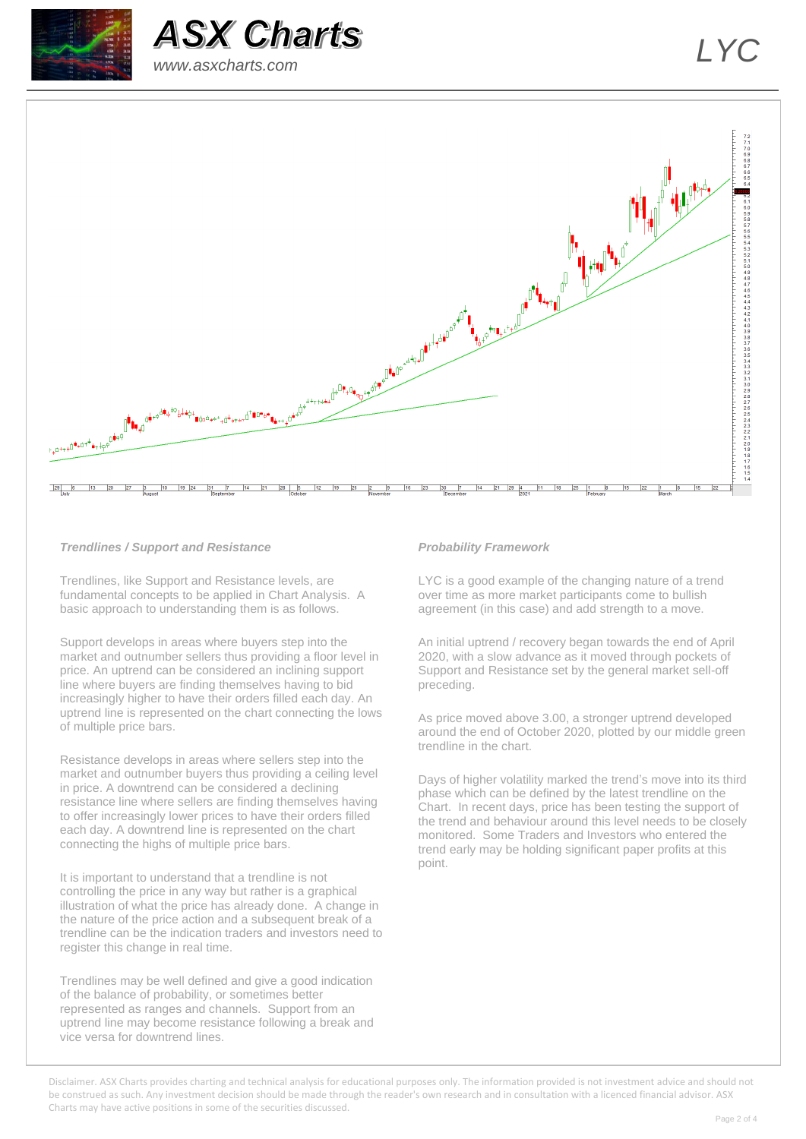



# *www.asxcharts.com*



### *Trendlines / Support and Resistance*

Trendlines, like Support and Resistance levels, are fundamental concepts to be applied in Chart Analysis. A basic approach to understanding them is as follows.

Support develops in areas where buyers step into the market and outnumber sellers thus providing a floor level in price. An uptrend can be considered an inclining support line where buyers are finding themselves having to bid increasingly higher to have their orders filled each day. An uptrend line is represented on the chart connecting the lows of multiple price bars.

Resistance develops in areas where sellers step into the market and outnumber buyers thus providing a ceiling level in price. A downtrend can be considered a declining resistance line where sellers are finding themselves having to offer increasingly lower prices to have their orders filled each day. A downtrend line is represented on the chart connecting the highs of multiple price bars.

It is important to understand that a trendline is not controlling the price in any way but rather is a graphical illustration of what the price has already done. A change in the nature of the price action and a subsequent break of a trendline can be the indication traders and investors need to register this change in real time.

Trendlines may be well defined and give a good indication of the balance of probability, or sometimes better represented as ranges and channels. Support from an uptrend line may become resistance following a break and vice versa for downtrend lines.

#### *Probability Framework*

LYC is a good example of the changing nature of a trend over time as more market participants come to bullish agreement (in this case) and add strength to a move.

An initial uptrend / recovery began towards the end of April 2020, with a slow advance as it moved through pockets of Support and Resistance set by the general market sell-off preceding.

As price moved above 3.00, a stronger uptrend developed around the end of October 2020, plotted by our middle green trendline in the chart.

Days of higher volatility marked the trend's move into its third phase which can be defined by the latest trendline on the Chart. In recent days, price has been testing the support of the trend and behaviour around this level needs to be closely monitored. Some Traders and Investors who entered the trend early may be holding significant paper profits at this point.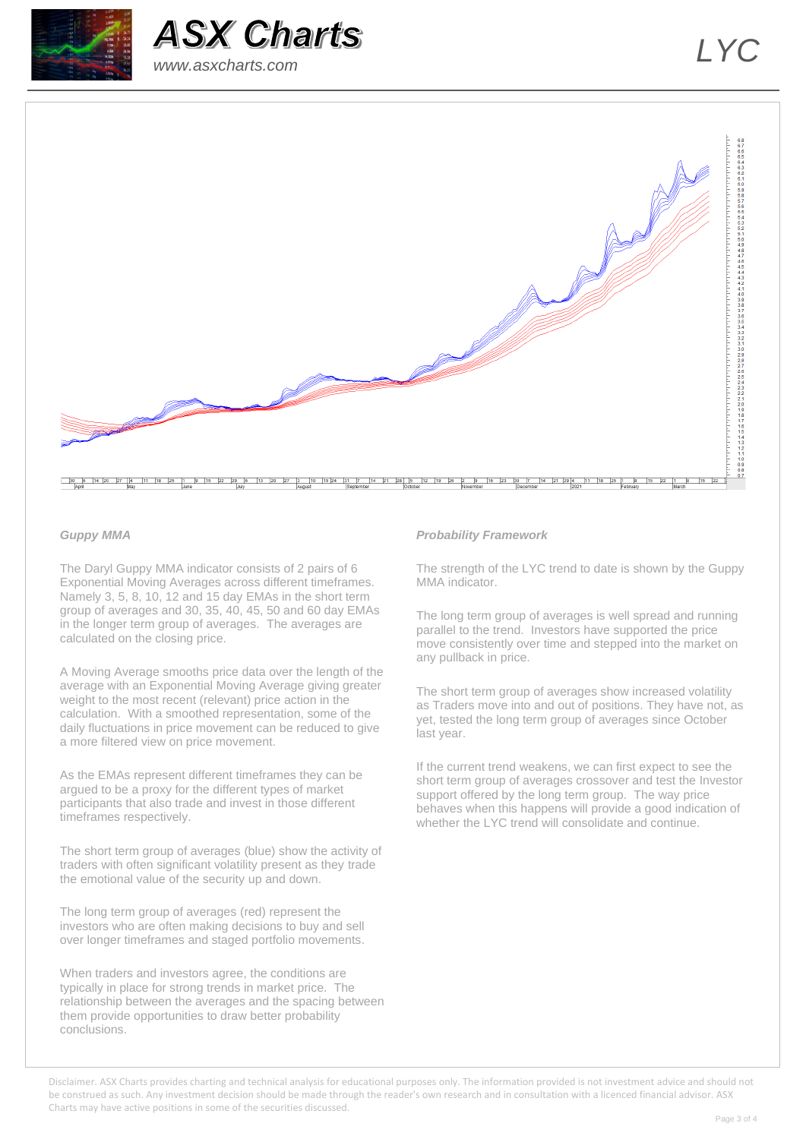



# *www.asxcharts.com*



### *Guppy MMA*

The Daryl Guppy MMA indicator consists of 2 pairs of 6 Exponential Moving Averages across different timeframes. Namely 3, 5, 8, 10, 12 and 15 day EMAs in the short term group of averages and 30, 35, 40, 45, 50 and 60 day EMAs in the longer term group of averages. The averages are calculated on the closing price.

A Moving Average smooths price data over the length of the average with an Exponential Moving Average giving greater weight to the most recent (relevant) price action in the calculation. With a smoothed representation, some of the daily fluctuations in price movement can be reduced to give a more filtered view on price movement.

As the EMAs represent different timeframes they can be argued to be a proxy for the different types of market participants that also trade and invest in those different timeframes respectively.

The short term group of averages (blue) show the activity of traders with often significant volatility present as they trade the emotional value of the security up and down.

The long term group of averages (red) represent the investors who are often making decisions to buy and sell over longer timeframes and staged portfolio movements.

When traders and investors agree, the conditions are typically in place for strong trends in market price. The relationship between the averages and the spacing between them provide opportunities to draw better probability conclusions.

#### *Probability Framework*

The strength of the LYC trend to date is shown by the Guppy MMA indicator.

The long term group of averages is well spread and running parallel to the trend. Investors have supported the price move consistently over time and stepped into the market on any pullback in price.

The short term group of averages show increased volatility as Traders move into and out of positions. They have not, as yet, tested the long term group of averages since October last year.

If the current trend weakens, we can first expect to see the short term group of averages crossover and test the Investor support offered by the long term group. The way price behaves when this happens will provide a good indication of whether the LYC trend will consolidate and continue.